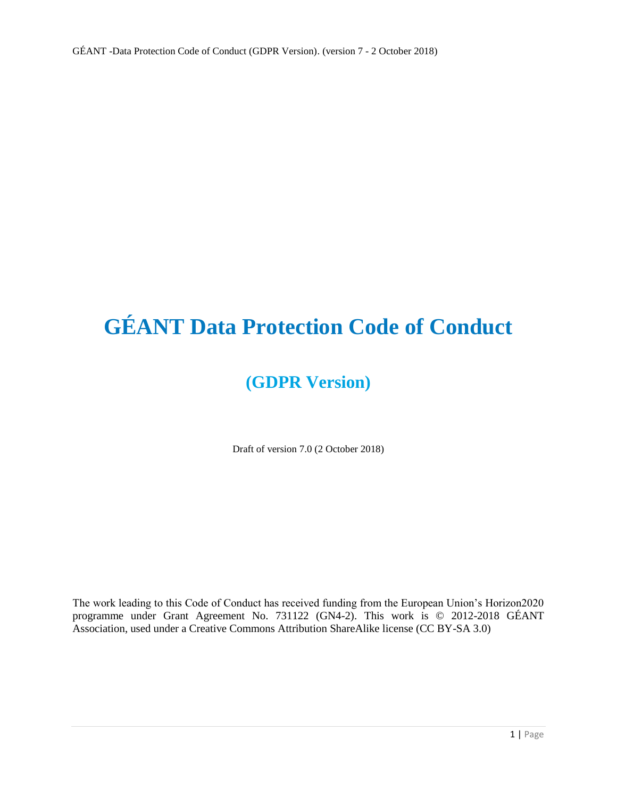# **GÉANT Data Protection Code of Conduct**

# **(GDPR Version)**

Draft of version 7.0 (2 October 2018)

The work leading to this Code of Conduct has received funding from the European Union's Horizon2020 programme under Grant Agreement No. 731122 (GN4-2). This work is © 2012-2018 GÉANT Association, used under a Creative Commons Attribution ShareAlike license (CC BY-SA 3.0)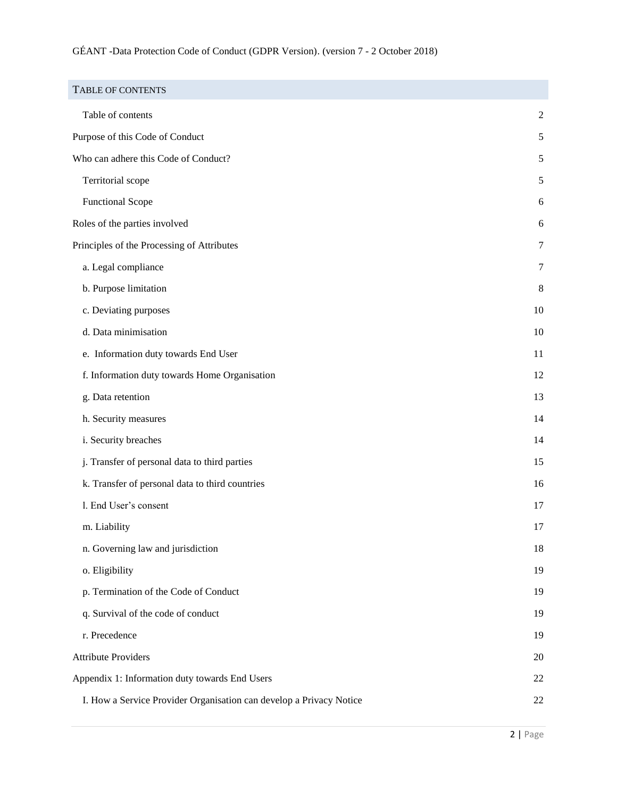<span id="page-1-0"></span>

| <b>TABLE OF CONTENTS</b>                                            |                |
|---------------------------------------------------------------------|----------------|
| Table of contents                                                   | $\overline{c}$ |
| Purpose of this Code of Conduct                                     | 5              |
| Who can adhere this Code of Conduct?                                | 5              |
| Territorial scope                                                   | 5              |
| <b>Functional Scope</b>                                             | 6              |
| Roles of the parties involved                                       | 6              |
| Principles of the Processing of Attributes                          | 7              |
| a. Legal compliance                                                 | 7              |
| b. Purpose limitation                                               | 8              |
| c. Deviating purposes                                               | 10             |
| d. Data minimisation                                                | 10             |
| e. Information duty towards End User                                | 11             |
| f. Information duty towards Home Organisation                       | 12             |
| g. Data retention                                                   | 13             |
| h. Security measures                                                | 14             |
| i. Security breaches                                                | 14             |
| j. Transfer of personal data to third parties                       | 15             |
| k. Transfer of personal data to third countries                     | 16             |
| l. End User's consent                                               | 17             |
| m. Liability                                                        | 17             |
| n. Governing law and jurisdiction                                   | 18             |
| o. Eligibility                                                      | 19             |
| p. Termination of the Code of Conduct                               | 19             |
| q. Survival of the code of conduct                                  | 19             |
| r. Precedence                                                       | 19             |
| <b>Attribute Providers</b>                                          | 20             |
| Appendix 1: Information duty towards End Users                      | 22             |
| I. How a Service Provider Organisation can develop a Privacy Notice | 22             |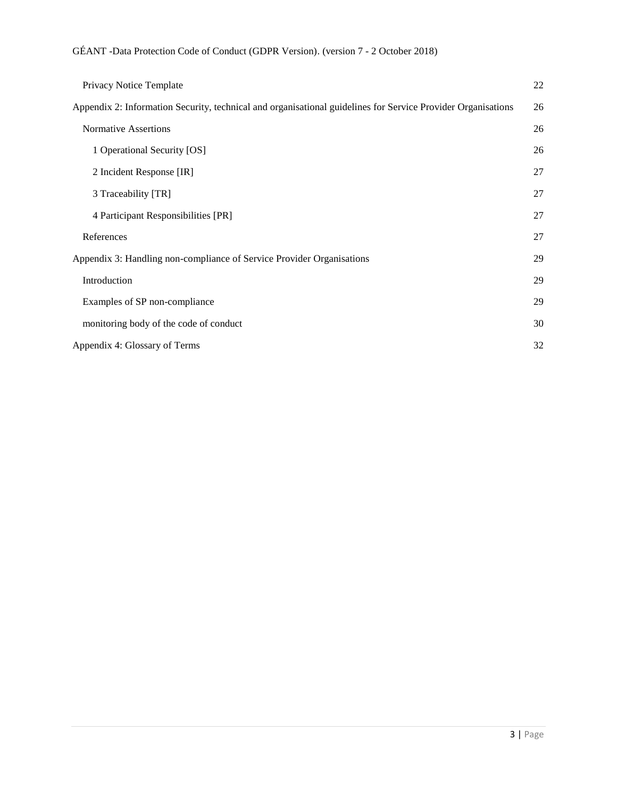| Privacy Notice Template                                                                                      | 22 |
|--------------------------------------------------------------------------------------------------------------|----|
| Appendix 2: Information Security, technical and organisational guidelines for Service Provider Organisations | 26 |
| <b>Normative Assertions</b>                                                                                  | 26 |
| 1 Operational Security [OS]                                                                                  | 26 |
| 2 Incident Response [IR]                                                                                     | 27 |
| 3 Traceability [TR]                                                                                          | 27 |
| 4 Participant Responsibilities [PR]                                                                          | 27 |
| References                                                                                                   | 27 |
| Appendix 3: Handling non-compliance of Service Provider Organisations                                        |    |
| Introduction                                                                                                 |    |
| Examples of SP non-compliance                                                                                |    |
| monitoring body of the code of conduct                                                                       | 30 |
| Appendix 4: Glossary of Terms                                                                                |    |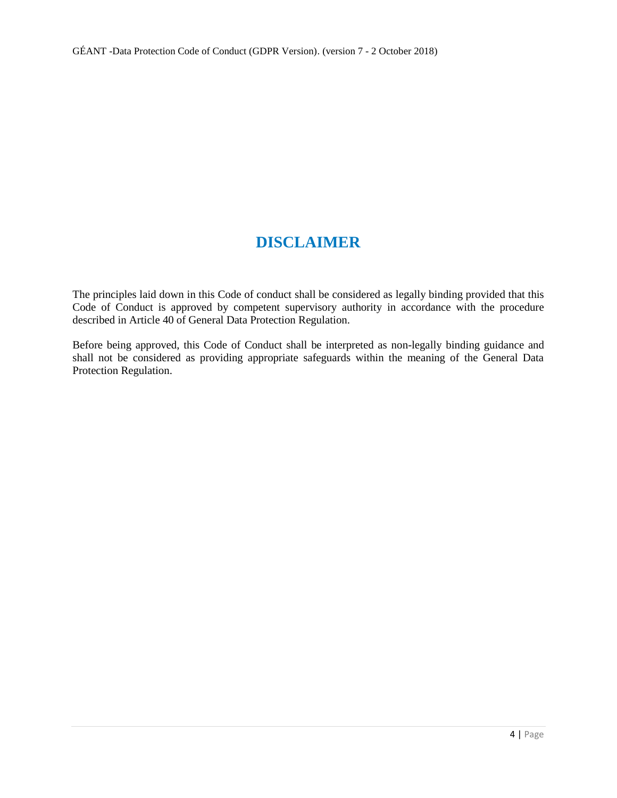# **DISCLAIMER**

The principles laid down in this Code of conduct shall be considered as legally binding provided that this Code of Conduct is approved by competent supervisory authority in accordance with the procedure described in Article 40 of General Data Protection Regulation.

Before being approved, this Code of Conduct shall be interpreted as non-legally binding guidance and shall not be considered as providing appropriate safeguards within the meaning of the General Data Protection Regulation.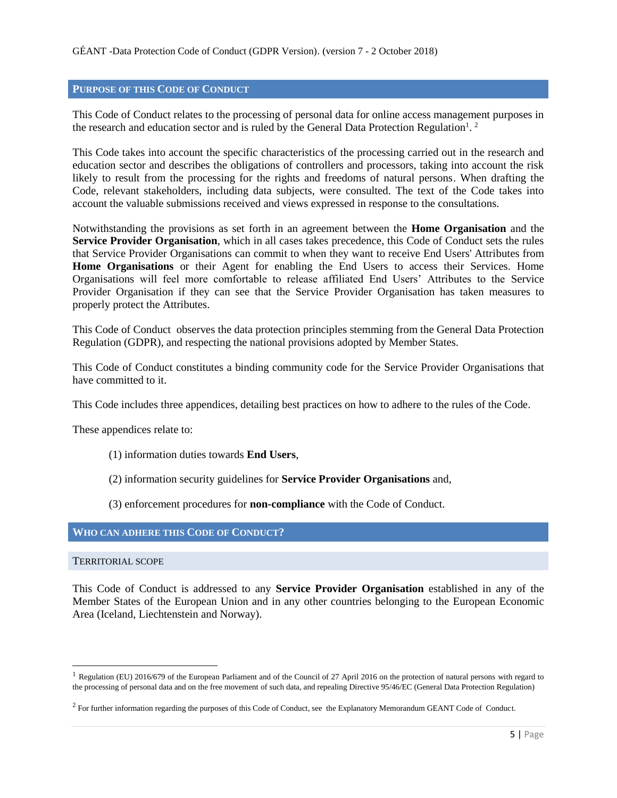# <span id="page-4-0"></span>**PURPOSE OF THIS CODE OF CONDUCT**

This Code of Conduct relates to the processing of personal data for online access management purposes in the research and education sector and is ruled by the General Data Protection Regulation<sup>1</sup>.<sup>2</sup>

This Code takes into account the specific characteristics of the processing carried out in the research and education sector and describes the obligations of controllers and processors, taking into account the risk likely to result from the processing for the rights and freedoms of natural persons. When drafting the Code, relevant stakeholders, including data subjects, were consulted. The text of the Code takes into account the valuable submissions received and views expressed in response to the consultations.

Notwithstanding the provisions as set forth in an agreement between the **Home Organisation** and the **Service Provider Organisation**, which in all cases takes precedence, this Code of Conduct sets the rules that Service Provider Organisations can commit to when they want to receive End Users' Attributes from **Home Organisations** or their Agent for enabling the End Users to access their Services. Home Organisations will feel more comfortable to release affiliated End Users' Attributes to the Service Provider Organisation if they can see that the Service Provider Organisation has taken measures to properly protect the Attributes.

This Code of Conduct observes the data protection principles stemming from the General Data Protection Regulation (GDPR), and respecting the national provisions adopted by Member States.

This Code of Conduct constitutes a binding community code for the Service Provider Organisations that have committed to it.

This Code includes three appendices, detailing best practices on how to adhere to the rules of the Code.

These appendices relate to:

- (1) information duties towards **End Users**,
- (2) information security guidelines for **Service Provider Organisations** and,
- (3) enforcement procedures for **non-compliance** with the Code of Conduct.

# <span id="page-4-1"></span>**WHO CAN ADHERE THIS CODE OF CONDUCT?**

<span id="page-4-2"></span>TERRITORIAL SCOPE

l

This Code of Conduct is addressed to any **Service Provider Organisation** established in any of the Member States of the European Union and in any other countries belonging to the European Economic Area (Iceland, Liechtenstein and Norway).

<sup>&</sup>lt;sup>1</sup> Regulation (EU) 2016/679 of the European Parliament and of the Council of 27 April 2016 on the protection of natural persons with regard to the processing of personal data and on the free movement of such data, and repealing Directive 95/46/EC (General Data Protection Regulation)

<sup>&</sup>lt;sup>2</sup> For further information regarding the purposes of this Code of Conduct, see the Explanatory Memorandum GEANT Code of Conduct.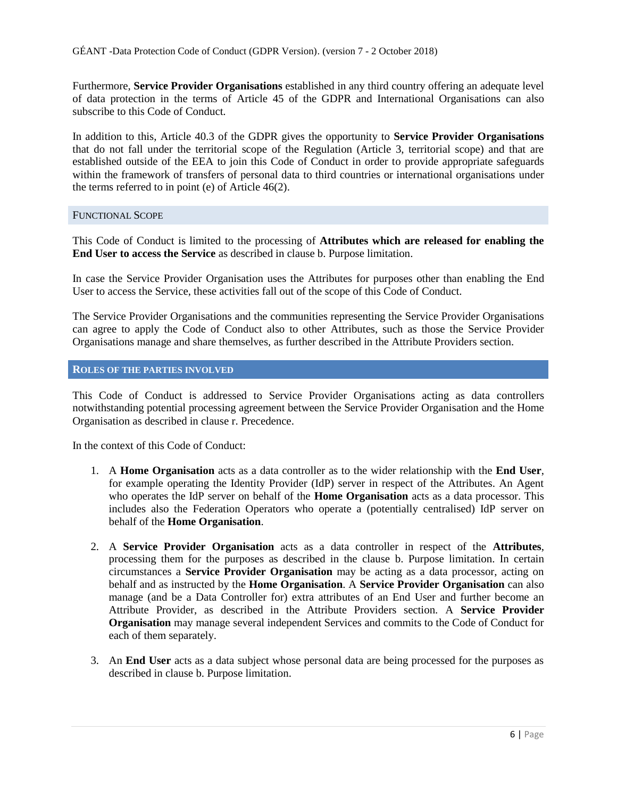Furthermore, **Service Provider Organisations** established in any third country offering an adequate level of data protection in the terms of Article 45 of the GDPR and International Organisations can also subscribe to this Code of Conduct.

In addition to this, Article 40.3 of the GDPR gives the opportunity to **Service Provider Organisations** that do not fall under the territorial scope of the Regulation (Article 3, territorial scope) and that are established outside of the EEA to join this Code of Conduct in order to provide appropriate safeguards within the framework of transfers of personal data to third countries or international organisations under the terms referred to in point (e) of Article 46(2).

#### <span id="page-5-0"></span>FUNCTIONAL SCOPE

This Code of Conduct is limited to the processing of **Attributes which are released for enabling the End User to access the Service** as described in clause b. Purpose limitation.

In case the Service Provider Organisation uses the Attributes for purposes other than enabling the End User to access the Service, these activities fall out of the scope of this Code of Conduct.

The Service Provider Organisations and the communities representing the Service Provider Organisations can agree to apply the Code of Conduct also to other Attributes, such as those the Service Provider Organisations manage and share themselves, as further described in the Attribute Providers section.

#### <span id="page-5-1"></span>**ROLES OF THE PARTIES INVOLVED**

This Code of Conduct is addressed to Service Provider Organisations acting as data controllers notwithstanding potential processing agreement between the Service Provider Organisation and the Home Organisation as described in clause r. Precedence.

In the context of this Code of Conduct:

- 1. A **Home Organisation** acts as a data controller as to the wider relationship with the **End User**, for example operating the Identity Provider (IdP) server in respect of the Attributes. An Agent who operates the IdP server on behalf of the **Home Organisation** acts as a data processor. This includes also the Federation Operators who operate a (potentially centralised) IdP server on behalf of the **Home Organisation**.
- 2. A **Service Provider Organisation** acts as a data controller in respect of the **Attributes**, processing them for the purposes as described in the clause b. Purpose limitation. In certain circumstances a **Service Provider Organisation** may be acting as a data processor, acting on behalf and as instructed by the **Home Organisation**. A **Service Provider Organisation** can also manage (and be a Data Controller for) extra attributes of an End User and further become an Attribute Provider, as described in the Attribute Providers section. A **Service Provider Organisation** may manage several independent Services and commits to the Code of Conduct for each of them separately.
- 3. An **End User** acts as a data subject whose personal data are being processed for the purposes as described in clause b. Purpose limitation.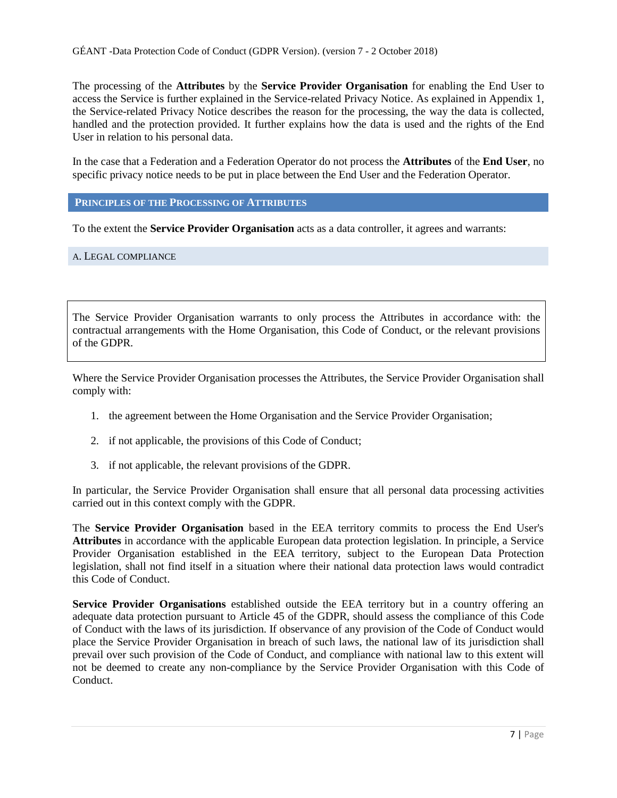The processing of the **Attributes** by the **Service Provider Organisation** for enabling the End User to access the Service is further explained in the Service-related Privacy Notice. As explained in Appendix 1, the Service-related Privacy Notice describes the reason for the processing, the way the data is collected, handled and the protection provided. It further explains how the data is used and the rights of the End User in relation to his personal data.

In the case that a Federation and a Federation Operator do not process the **Attributes** of the **End User**, no specific privacy notice needs to be put in place between the End User and the Federation Operator.

<span id="page-6-0"></span>**PRINCIPLES OF THE PROCESSING OF ATTRIBUTES**

To the extent the **Service Provider Organisation** acts as a data controller, it agrees and warrants:

#### <span id="page-6-1"></span>A. LEGAL COMPLIANCE

The Service Provider Organisation warrants to only process the Attributes in accordance with: the contractual arrangements with the Home Organisation, this Code of Conduct, or the relevant provisions of the GDPR.

Where the Service Provider Organisation processes the Attributes, the Service Provider Organisation shall comply with:

- 1. the agreement between the Home Organisation and the Service Provider Organisation;
- 2. if not applicable, the provisions of this Code of Conduct;
- 3. if not applicable, the relevant provisions of the GDPR.

In particular, the Service Provider Organisation shall ensure that all personal data processing activities carried out in this context comply with the GDPR.

The **Service Provider Organisation** based in the EEA territory commits to process the End User's **Attributes** in accordance with the applicable European data protection legislation. In principle, a Service Provider Organisation established in the EEA territory, subject to the European Data Protection legislation, shall not find itself in a situation where their national data protection laws would contradict this Code of Conduct.

**Service Provider Organisations** established outside the EEA territory but in a country offering an adequate data protection pursuant to Article 45 of the GDPR, should assess the compliance of this Code of Conduct with the laws of its jurisdiction. If observance of any provision of the Code of Conduct would place the Service Provider Organisation in breach of such laws, the national law of its jurisdiction shall prevail over such provision of the Code of Conduct, and compliance with national law to this extent will not be deemed to create any non-compliance by the Service Provider Organisation with this Code of Conduct.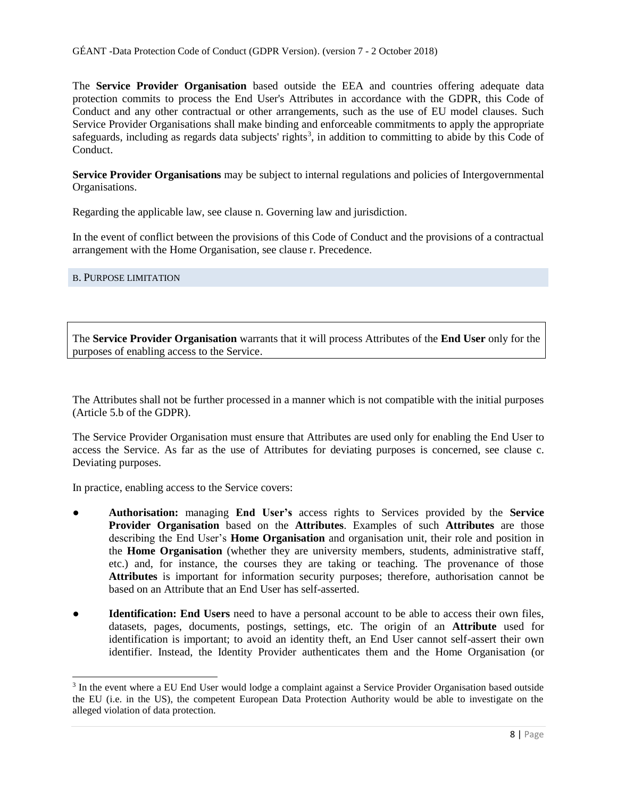The **Service Provider Organisation** based outside the EEA and countries offering adequate data protection commits to process the End User's Attributes in accordance with the GDPR, this Code of Conduct and any other contractual or other arrangements, such as the use of EU model clauses. Such Service Provider Organisations shall make binding and enforceable commitments to apply the appropriate safeguards, including as regards data subjects' rights<sup>3</sup>, in addition to committing to abide by this Code of Conduct.

**Service Provider Organisations** may be subject to internal regulations and policies of Intergovernmental Organisations.

Regarding the applicable law, see clause n. Governing law and jurisdiction.

In the event of conflict between the provisions of this Code of Conduct and the provisions of a contractual arrangement with the Home Organisation, see clause r. Precedence.

# <span id="page-7-0"></span>B. PURPOSE LIMITATION

 $\overline{a}$ 

The **Service Provider Organisation** warrants that it will process Attributes of the **End User** only for the purposes of enabling access to the Service.

The Attributes shall not be further processed in a manner which is not compatible with the initial purposes (Article 5.b of the GDPR).

The Service Provider Organisation must ensure that Attributes are used only for enabling the End User to access the Service. As far as the use of Attributes for deviating purposes is concerned, see clause c. Deviating purposes.

In practice, enabling access to the Service covers:

- **Authorisation:** managing **End User's** access rights to Services provided by the **Service Provider Organisation** based on the **Attributes**. Examples of such **Attributes** are those describing the End User's **Home Organisation** and organisation unit, their role and position in the **Home Organisation** (whether they are university members, students, administrative staff, etc.) and, for instance, the courses they are taking or teaching. The provenance of those **Attributes** is important for information security purposes; therefore, authorisation cannot be based on an Attribute that an End User has self-asserted.
- **Identification: End Users** need to have a personal account to be able to access their own files, datasets, pages, documents, postings, settings, etc. The origin of an **Attribute** used for identification is important; to avoid an identity theft, an End User cannot self-assert their own identifier. Instead, the Identity Provider authenticates them and the Home Organisation (or

<sup>&</sup>lt;sup>3</sup> In the event where a EU End User would lodge a complaint against a Service Provider Organisation based outside the EU (i.e. in the US), the competent European Data Protection Authority would be able to investigate on the alleged violation of data protection.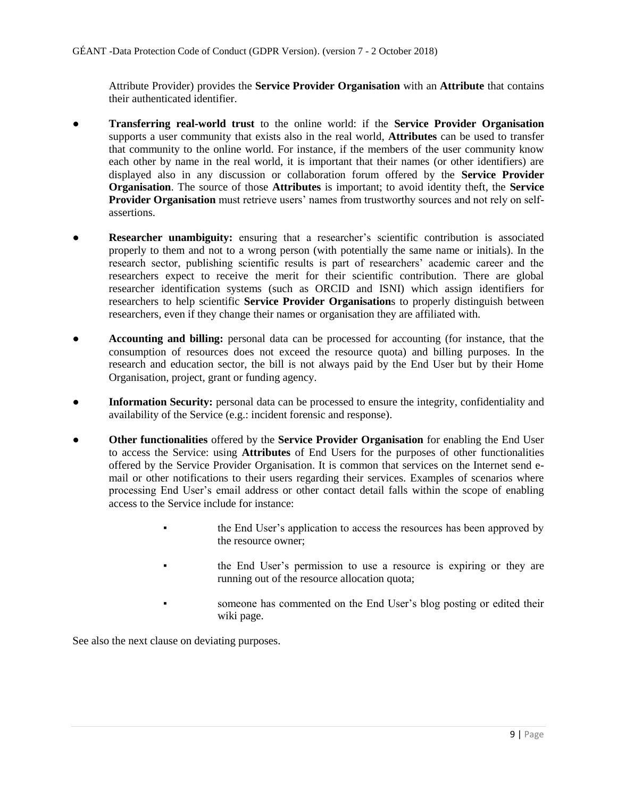Attribute Provider) provides the **Service Provider Organisation** with an **Attribute** that contains their authenticated identifier.

- **Transferring real-world trust** to the online world: if the **Service Provider Organisation** supports a user community that exists also in the real world, **Attributes** can be used to transfer that community to the online world. For instance, if the members of the user community know each other by name in the real world, it is important that their names (or other identifiers) are displayed also in any discussion or collaboration forum offered by the **Service Provider Organisation**. The source of those **Attributes** is important; to avoid identity theft, the **Service Provider Organisation** must retrieve users' names from trustworthy sources and not rely on selfassertions.
- **Researcher unambiguity:** ensuring that a researcher's scientific contribution is associated properly to them and not to a wrong person (with potentially the same name or initials). In the research sector, publishing scientific results is part of researchers' academic career and the researchers expect to receive the merit for their scientific contribution. There are global researcher identification systems (such as ORCID and ISNI) which assign identifiers for researchers to help scientific **Service Provider Organisation**s to properly distinguish between researchers, even if they change their names or organisation they are affiliated with.
- **Accounting and billing:** personal data can be processed for accounting (for instance, that the consumption of resources does not exceed the resource quota) and billing purposes. In the research and education sector, the bill is not always paid by the End User but by their Home Organisation, project, grant or funding agency.
- **Information Security:** personal data can be processed to ensure the integrity, confidentiality and availability of the Service (e.g.: incident forensic and response).
- **Other functionalities** offered by the **Service Provider Organisation** for enabling the End User to access the Service: using **Attributes** of End Users for the purposes of other functionalities offered by the Service Provider Organisation. It is common that services on the Internet send email or other notifications to their users regarding their services. Examples of scenarios where processing End User's email address or other contact detail falls within the scope of enabling access to the Service include for instance:
	- the End User's application to access the resources has been approved by the resource owner;
	- the End User's permission to use a resource is expiring or they are running out of the resource allocation quota;
	- someone has commented on the End User's blog posting or edited their wiki page.

See also the next clause on deviating purposes.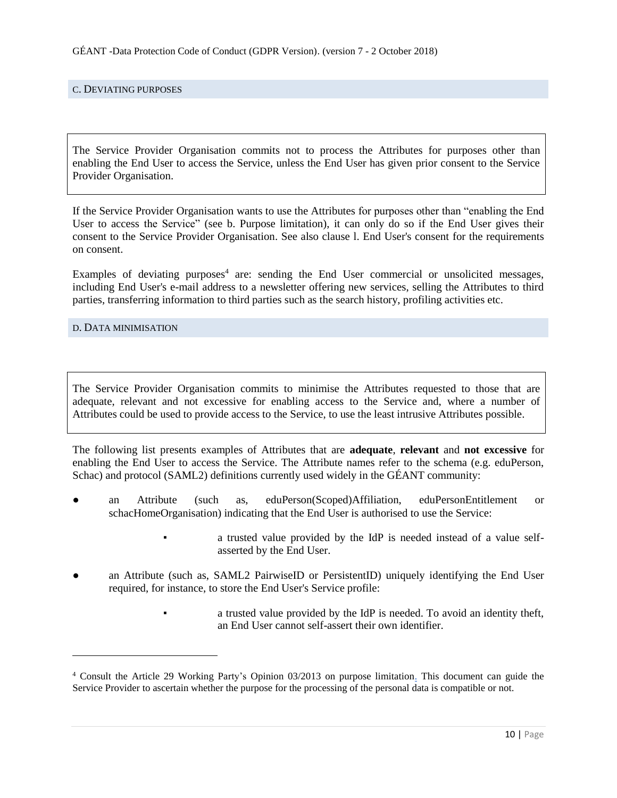#### <span id="page-9-0"></span>C. DEVIATING PURPOSES

The Service Provider Organisation commits not to process the Attributes for purposes other than enabling the End User to access the Service, unless the End User has given prior consent to the Service Provider Organisation.

If the Service Provider Organisation wants to use the Attributes for purposes other than "enabling the End User to access the Service" (see b. Purpose limitation), it can only do so if the End User gives their consent to the Service Provider Organisation. See also clause l. End User's consent for the requirements on consent.

Examples of deviating purposes<sup>4</sup> are: sending the End User commercial or unsolicited messages, including End User's e-mail address to a newsletter offering new services, selling the Attributes to third parties, transferring information to third parties such as the search history, profiling activities etc.

<span id="page-9-1"></span>D. DATA MINIMISATION

l

The Service Provider Organisation commits to minimise the Attributes requested to those that are adequate, relevant and not excessive for enabling access to the Service and, where a number of Attributes could be used to provide access to the Service, to use the least intrusive Attributes possible.

The following list presents examples of Attributes that are **adequate**, **relevant** and **not excessive** for enabling the End User to access the Service. The Attribute names refer to the schema (e.g. eduPerson, Schac) and protocol (SAML2) definitions currently used widely in the GÉANT community:

- an Attribute (such as, eduPerson(Scoped)Affiliation, eduPersonEntitlement or schacHomeOrganisation) indicating that the End User is authorised to use the Service:
	- a trusted value provided by the IdP is needed instead of a value selfasserted by the End User.
- an Attribute (such as, SAML2 PairwiseID or PersistentID) uniquely identifying the End User required, for instance, to store the End User's Service profile:
	- a trusted value provided by the IdP is needed. To avoid an identity theft, an End User cannot self-assert their own identifier.

<sup>4</sup> Consult the Article 29 Working Party's Opinion 03/2013 on purpose limitation. This document can guide the Service Provider to ascertain whether the purpose for the processing of the personal data is compatible or not.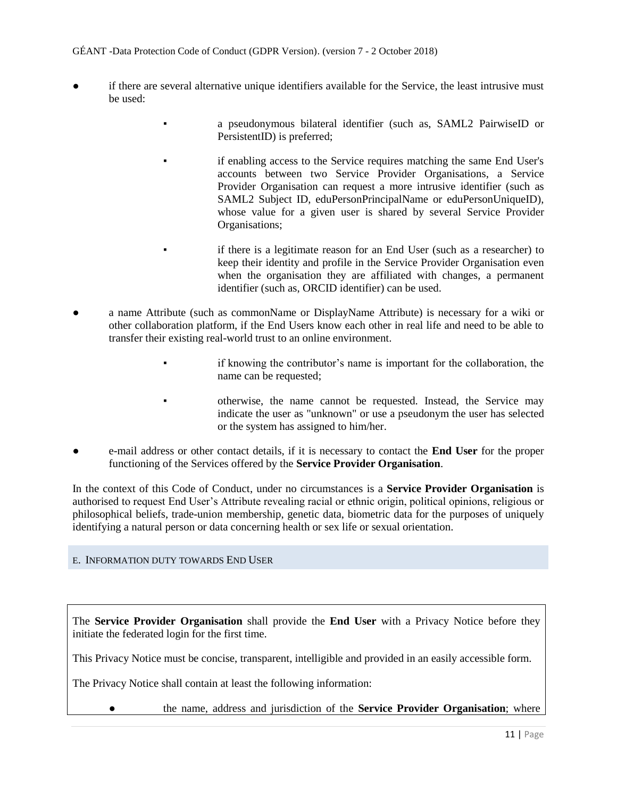# GÉANT -Data Protection Code of Conduct (GDPR Version). (version 7 - 2 October 2018)

- if there are several alternative unique identifiers available for the Service, the least intrusive must be used:
	- a pseudonymous bilateral identifier (such as, SAML2 PairwiseID or PersistentID) is preferred;
	- if enabling access to the Service requires matching the same End User's accounts between two Service Provider Organisations, a Service Provider Organisation can request a more intrusive identifier (such as SAML2 Subject ID, eduPersonPrincipalName or eduPersonUniqueID), whose value for a given user is shared by several Service Provider Organisations;
	- if there is a legitimate reason for an End User (such as a researcher) to keep their identity and profile in the Service Provider Organisation even when the organisation they are affiliated with changes, a permanent identifier (such as, ORCID identifier) can be used.
- a name Attribute (such as commonName or DisplayName Attribute) is necessary for a wiki or other collaboration platform, if the End Users know each other in real life and need to be able to transfer their existing real-world trust to an online environment.
	- if knowing the contributor's name is important for the collaboration, the name can be requested;
	- otherwise, the name cannot be requested. Instead, the Service may indicate the user as "unknown" or use a pseudonym the user has selected or the system has assigned to him/her.
- e-mail address or other contact details, if it is necessary to contact the **End User** for the proper functioning of the Services offered by the **Service Provider Organisation**.

In the context of this Code of Conduct, under no circumstances is a **Service Provider Organisation** is authorised to request End User's Attribute revealing racial or ethnic origin, political opinions, religious or philosophical beliefs, trade-union membership, genetic data, biometric data for the purposes of uniquely identifying a natural person or data concerning health or sex life or sexual orientation.

# <span id="page-10-0"></span>E. INFORMATION DUTY TOWARDS END USER

The **Service Provider Organisation** shall provide the **End User** with a Privacy Notice before they initiate the federated login for the first time.

This Privacy Notice must be concise, transparent, intelligible and provided in an easily accessible form.

The Privacy Notice shall contain at least the following information:

● the name, address and jurisdiction of the **Service Provider Organisation**; where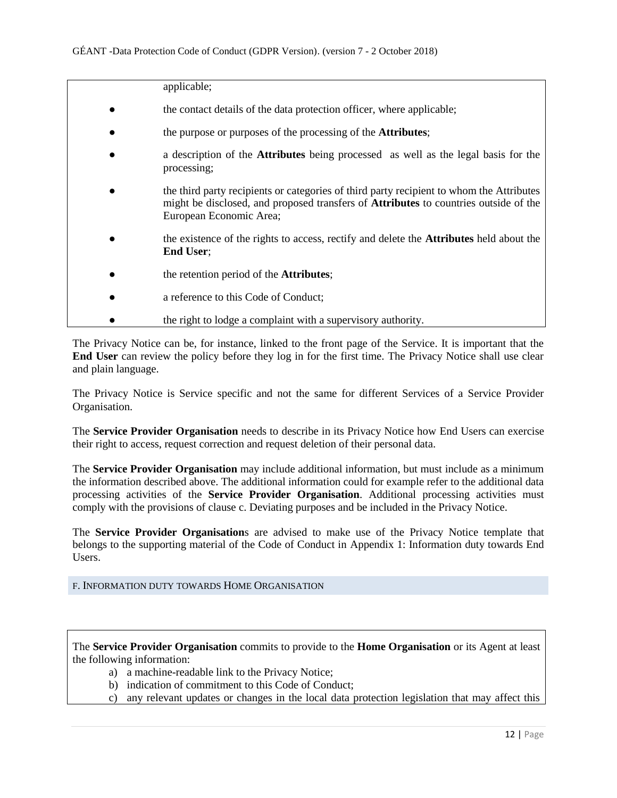| applicable;                                                                                                                                                                                                        |
|--------------------------------------------------------------------------------------------------------------------------------------------------------------------------------------------------------------------|
| the contact details of the data protection officer, where applicable;                                                                                                                                              |
| the purpose or purposes of the processing of the <b>Attributes</b> ;                                                                                                                                               |
| a description of the Attributes being processed as well as the legal basis for the<br>processing;                                                                                                                  |
| the third party recipients or categories of third party recipient to whom the Attributes<br>might be disclosed, and proposed transfers of <b>Attributes</b> to countries outside of the<br>European Economic Area; |
| the existence of the rights to access, rectify and delete the <b>Attributes</b> held about the<br><b>End User:</b>                                                                                                 |
| the retention period of the <b>Attributes</b> ;                                                                                                                                                                    |
| a reference to this Code of Conduct;                                                                                                                                                                               |
| the right to lodge a complaint with a supervisory authority.                                                                                                                                                       |

The Privacy Notice can be, for instance, linked to the front page of the Service. It is important that the **End User** can review the policy before they log in for the first time. The Privacy Notice shall use clear and plain language.

The Privacy Notice is Service specific and not the same for different Services of a Service Provider Organisation.

The **Service Provider Organisation** needs to describe in its Privacy Notice how End Users can exercise their right to access, request correction and request deletion of their personal data.

The **Service Provider Organisation** may include additional information, but must include as a minimum the information described above. The additional information could for example refer to the additional data processing activities of the **Service Provider Organisation**. Additional processing activities must comply with the provisions of clause c. Deviating purposes and be included in the Privacy Notice.

The **Service Provider Organisation**s are advised to make use of the Privacy Notice template that belongs to the supporting material of the Code of Conduct in Appendix 1: Information duty towards End Users.

# <span id="page-11-0"></span>F. INFORMATION DUTY TOWARDS HOME ORGANISATION

The **Service Provider Organisation** commits to provide to the **Home Organisation** or its Agent at least the following information:

- a) a machine-readable link to the Privacy Notice;
- b) indication of commitment to this Code of Conduct;
- c) any relevant updates or changes in the local data protection legislation that may affect this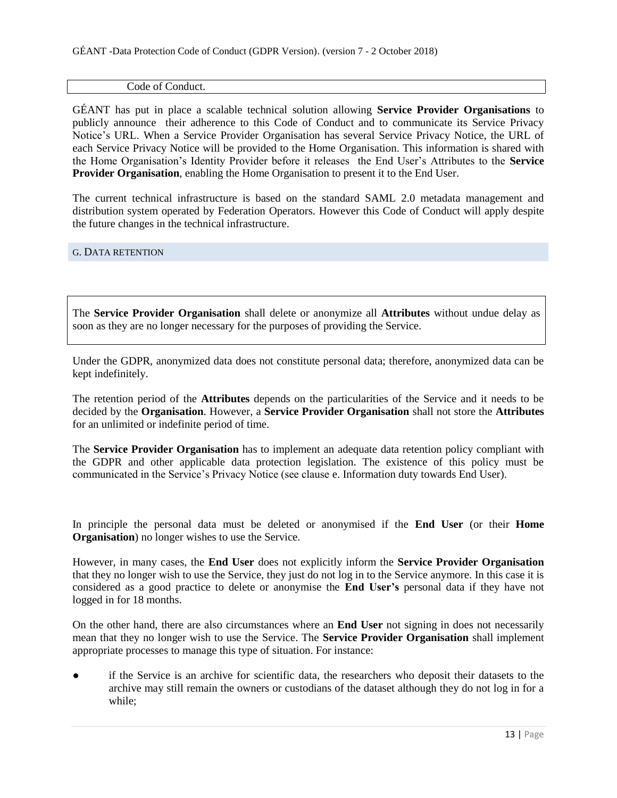#### Code of Conduct.

GÉANT has put in place a scalable technical solution allowing **Service Provider Organisations** to publicly announce their adherence to this Code of Conduct and to communicate its Service Privacy Notice's URL. When a Service Provider Organisation has several Service Privacy Notice, the URL of each Service Privacy Notice will be provided to the Home Organisation. This information is shared with the Home Organisation's Identity Provider before it releases the End User's Attributes to the **Service Provider Organisation**, enabling the Home Organisation to present it to the End User.

The current technical infrastructure is based on the standard SAML 2.0 metadata management and distribution system operated by Federation Operators. However this Code of Conduct will apply despite the future changes in the technical infrastructure.

#### <span id="page-12-0"></span>G. DATA RETENTION

The **Service Provider Organisation** shall delete or anonymize all **Attributes** without undue delay as soon as they are no longer necessary for the purposes of providing the Service.

Under the GDPR, anonymized data does not constitute personal data; therefore, anonymized data can be kept indefinitely.

The retention period of the **Attributes** depends on the particularities of the Service and it needs to be decided by the **Organisation**. However, a **Service Provider Organisation** shall not store the **Attributes** for an unlimited or indefinite period of time.

The **Service Provider Organisation** has to implement an adequate data retention policy compliant with the GDPR and other applicable data protection legislation. The existence of this policy must be communicated in the Service's Privacy Notice (see clause e. Information duty towards End User).

In principle the personal data must be deleted or anonymised if the **End User** (or their **Home Organisation**) no longer wishes to use the Service.

However, in many cases, the **End User** does not explicitly inform the **Service Provider Organisation** that they no longer wish to use the Service, they just do not log in to the Service anymore. In this case it is considered as a good practice to delete or anonymise the **End User's** personal data if they have not logged in for 18 months.

On the other hand, there are also circumstances where an **End User** not signing in does not necessarily mean that they no longer wish to use the Service. The **Service Provider Organisation** shall implement appropriate processes to manage this type of situation. For instance:

if the Service is an archive for scientific data, the researchers who deposit their datasets to the archive may still remain the owners or custodians of the dataset although they do not log in for a while;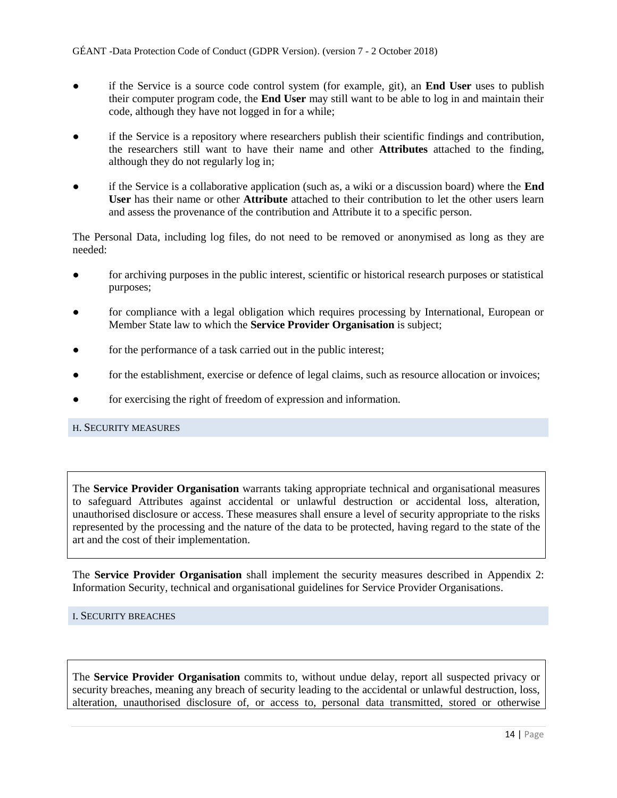- if the Service is a source code control system (for example, git), an **End User** uses to publish their computer program code, the **End User** may still want to be able to log in and maintain their code, although they have not logged in for a while;
- if the Service is a repository where researchers publish their scientific findings and contribution, the researchers still want to have their name and other **Attributes** attached to the finding, although they do not regularly log in;
- if the Service is a collaborative application (such as, a wiki or a discussion board) where the **End User** has their name or other **Attribute** attached to their contribution to let the other users learn and assess the provenance of the contribution and Attribute it to a specific person.

The Personal Data, including log files, do not need to be removed or anonymised as long as they are needed:

- for archiving purposes in the public interest, scientific or historical research purposes or statistical purposes;
- for compliance with a legal obligation which requires processing by International, European or Member State law to which the **Service Provider Organisation** is subject;
- for the performance of a task carried out in the public interest;
- for the establishment, exercise or defence of legal claims, such as resource allocation or invoices;
- for exercising the right of freedom of expression and information.

#### <span id="page-13-0"></span>H. SECURITY MEASURES

The **Service Provider Organisation** warrants taking appropriate technical and organisational measures to safeguard Attributes against accidental or unlawful destruction or accidental loss, alteration, unauthorised disclosure or access. These measures shall ensure a level of security appropriate to the risks represented by the processing and the nature of the data to be protected, having regard to the state of the art and the cost of their implementation.

The **Service Provider Organisation** shall implement the security measures described in Appendix 2: Information Security, technical and organisational guidelines for Service Provider Organisations.

# <span id="page-13-1"></span>I. SECURITY BREACHES

The **Service Provider Organisation** commits to, without undue delay, report all suspected privacy or security breaches, meaning any breach of security leading to the accidental or unlawful destruction, loss, alteration, unauthorised disclosure of, or access to, personal data transmitted, stored or otherwise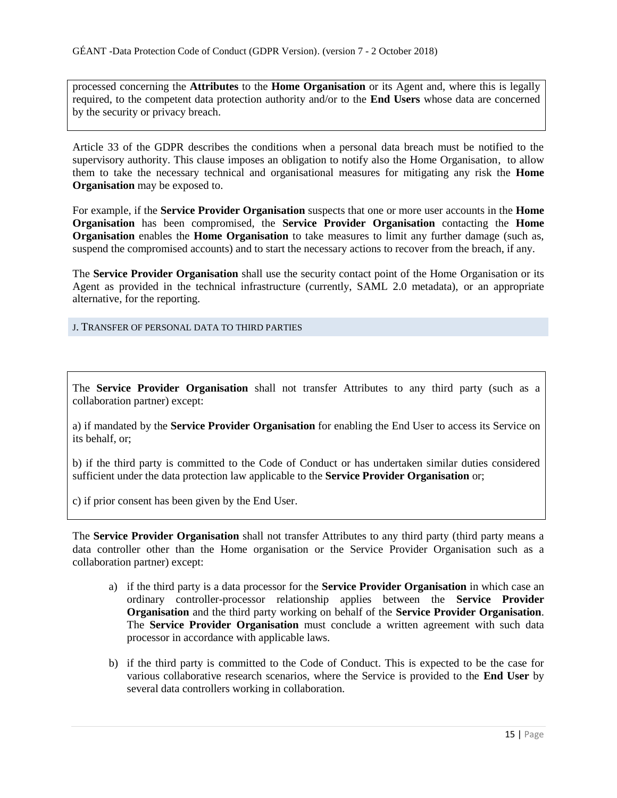processed concerning the **Attributes** to the **Home Organisation** or its Agent and, where this is legally required, to the competent data protection authority and/or to the **End Users** whose data are concerned by the security or privacy breach.

Article 33 of the GDPR describes the conditions when a personal data breach must be notified to the supervisory authority. This clause imposes an obligation to notify also the Home Organisation, to allow them to take the necessary technical and organisational measures for mitigating any risk the **Home Organisation** may be exposed to.

For example, if the **Service Provider Organisation** suspects that one or more user accounts in the **Home Organisation** has been compromised, the **Service Provider Organisation** contacting the **Home Organisation** enables the **Home Organisation** to take measures to limit any further damage (such as, suspend the compromised accounts) and to start the necessary actions to recover from the breach, if any.

The **Service Provider Organisation** shall use the security contact point of the Home Organisation or its Agent as provided in the technical infrastructure (currently, SAML 2.0 metadata), or an appropriate alternative, for the reporting.

<span id="page-14-0"></span>J. TRANSFER OF PERSONAL DATA TO THIRD PARTIES

The **Service Provider Organisation** shall not transfer Attributes to any third party (such as a collaboration partner) except:

a) if mandated by the **Service Provider Organisation** for enabling the End User to access its Service on its behalf, or;

b) if the third party is committed to the Code of Conduct or has undertaken similar duties considered sufficient under the data protection law applicable to the **Service Provider Organisation** or;

c) if prior consent has been given by the End User.

The **Service Provider Organisation** shall not transfer Attributes to any third party (third party means a data controller other than the Home organisation or the Service Provider Organisation such as a collaboration partner) except:

- a) if the third party is a data processor for the **Service Provider Organisation** in which case an ordinary controller-processor relationship applies between the **Service Provider Organisation** and the third party working on behalf of the **Service Provider Organisation**. The **Service Provider Organisation** must conclude a written agreement with such data processor in accordance with applicable laws.
- b) if the third party is committed to the Code of Conduct. This is expected to be the case for various collaborative research scenarios, where the Service is provided to the **End User** by several data controllers working in collaboration.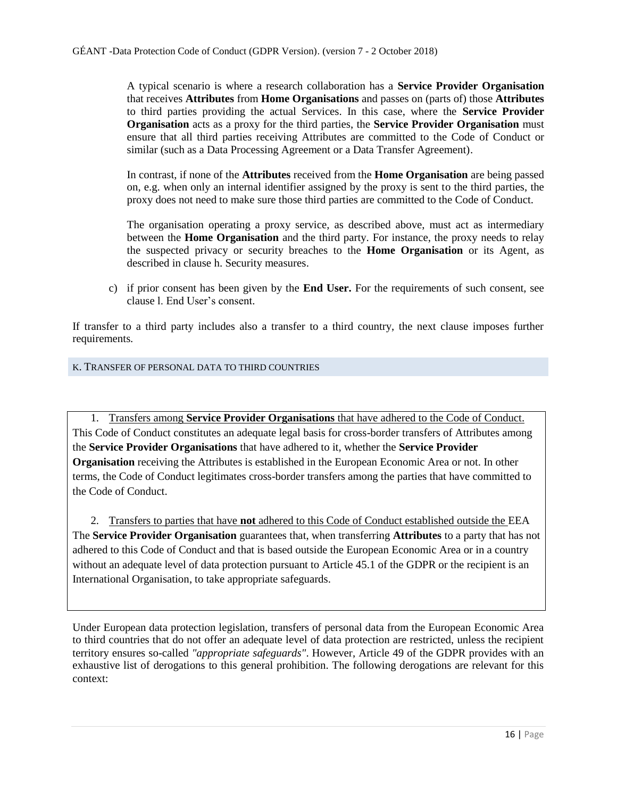A typical scenario is where a research collaboration has a **Service Provider Organisation** that receives **Attributes** from **Home Organisations** and passes on (parts of) those **Attributes** to third parties providing the actual Services. In this case, where the **Service Provider Organisation** acts as a proxy for the third parties, the **Service Provider Organisation** must ensure that all third parties receiving Attributes are committed to the Code of Conduct or similar (such as a Data Processing Agreement or a Data Transfer Agreement).

In contrast, if none of the **Attributes** received from the **Home Organisation** are being passed on, e.g. when only an internal identifier assigned by the proxy is sent to the third parties, the proxy does not need to make sure those third parties are committed to the Code of Conduct.

The organisation operating a proxy service, as described above, must act as intermediary between the **Home Organisation** and the third party. For instance, the proxy needs to relay the suspected privacy or security breaches to the **Home Organisation** or its Agent, as described in clause h. Security measures.

c) if prior consent has been given by the **End User.** For the requirements of such consent, see clause l. End User's consent.

If transfer to a third party includes also a transfer to a third country, the next clause imposes further requirements.

# <span id="page-15-0"></span>K. TRANSFER OF PERSONAL DATA TO THIRD COUNTRIES

1. Transfers among **Service Provider Organisations** that have adhered to the Code of Conduct. This Code of Conduct constitutes an adequate legal basis for cross-border transfers of Attributes among the **Service Provider Organisations** that have adhered to it, whether the **Service Provider Organisation** receiving the Attributes is established in the European Economic Area or not. In other terms, the Code of Conduct legitimates cross-border transfers among the parties that have committed to the Code of Conduct.

2. Transfers to parties that have **not** adhered to this Code of Conduct established outside the EEA The **Service Provider Organisation** guarantees that, when transferring **Attributes** to a party that has not adhered to this Code of Conduct and that is based outside the European Economic Area or in a country without an adequate level of data protection pursuant to Article 45.1 of the GDPR or the recipient is an International Organisation, to take appropriate safeguards.

Under European data protection legislation, transfers of personal data from the European Economic Area to third countries that do not offer an adequate level of data protection are restricted, unless the recipient territory ensures so-called *"appropriate safeguards"*. However, Article 49 of the GDPR provides with an exhaustive list of derogations to this general prohibition. The following derogations are relevant for this context: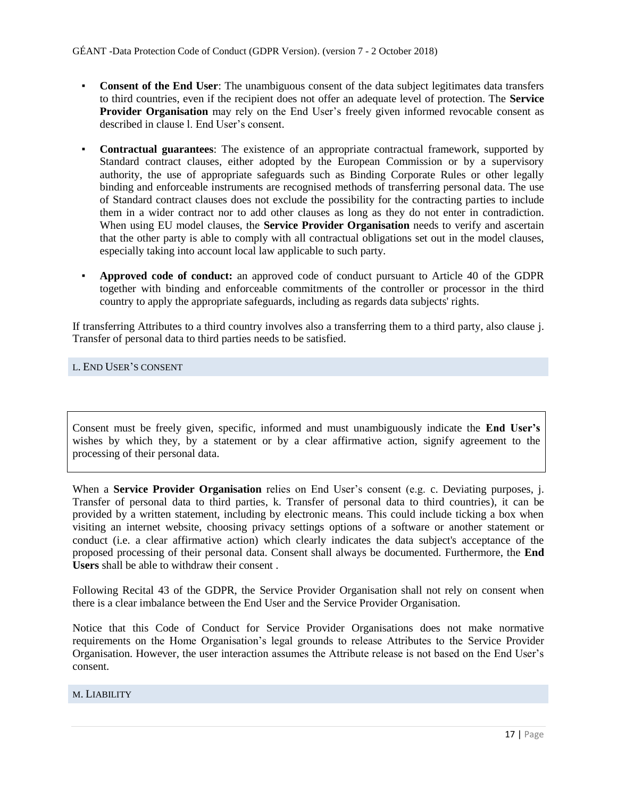- **Consent of the End User**: The unambiguous consent of the data subject legitimates data transfers to third countries, even if the recipient does not offer an adequate level of protection. The **Service Provider Organisation** may rely on the End User's freely given informed revocable consent as described in clause l. End User's consent.
- **Contractual guarantees**: The existence of an appropriate contractual framework, supported by Standard contract clauses, either adopted by the European Commission or by a supervisory authority, the use of appropriate safeguards such as Binding Corporate Rules or other legally binding and enforceable instruments are recognised methods of transferring personal data. The use of Standard contract clauses does not exclude the possibility for the contracting parties to include them in a wider contract nor to add other clauses as long as they do not enter in contradiction. When using EU model clauses, the **Service Provider Organisation** needs to verify and ascertain that the other party is able to comply with all contractual obligations set out in the model clauses, especially taking into account local law applicable to such party.
- **Approved code of conduct:** an approved code of conduct pursuant to Article 40 of the GDPR together with binding and enforceable commitments of the controller or processor in the third country to apply the appropriate safeguards, including as regards data subjects' rights.

If transferring Attributes to a third country involves also a transferring them to a third party, also clause j. Transfer of personal data to third parties needs to be satisfied.

# <span id="page-16-0"></span>L. END USER'S CONSENT

Consent must be freely given, specific, informed and must unambiguously indicate the **End User's** wishes by which they, by a statement or by a clear affirmative action, signify agreement to the processing of their personal data.

When a **Service Provider Organisation** relies on End User's consent (e.g. c. Deviating purposes, j. Transfer of personal data to third parties, k. Transfer of personal data to third countries), it can be provided by a written statement, including by electronic means. This could include ticking a box when visiting an internet website, choosing privacy settings options of a software or another statement or conduct (i.e. a clear affirmative action) which clearly indicates the data subject's acceptance of the proposed processing of their personal data. Consent shall always be documented. Furthermore, the **End Users** shall be able to withdraw their consent .

Following Recital 43 of the GDPR, the Service Provider Organisation shall not rely on consent when there is a clear imbalance between the End User and the Service Provider Organisation.

Notice that this Code of Conduct for Service Provider Organisations does not make normative requirements on the Home Organisation's legal grounds to release Attributes to the Service Provider Organisation. However, the user interaction assumes the Attribute release is not based on the End User's consent.

#### <span id="page-16-1"></span>M. LIABILITY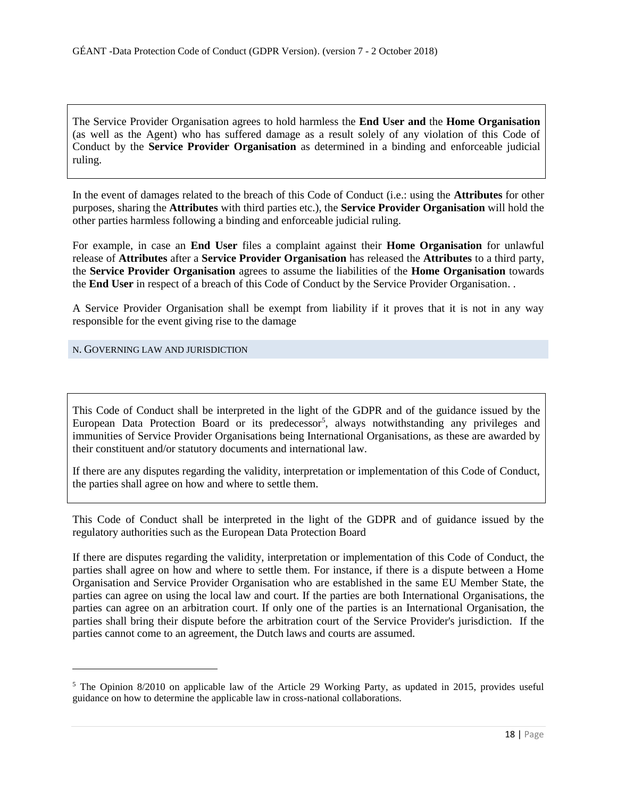The Service Provider Organisation agrees to hold harmless the **End User and** the **Home Organisation** (as well as the Agent) who has suffered damage as a result solely of any violation of this Code of Conduct by the **Service Provider Organisation** as determined in a binding and enforceable judicial ruling.

In the event of damages related to the breach of this Code of Conduct (i.e.: using the **Attributes** for other purposes, sharing the **Attributes** with third parties etc.), the **Service Provider Organisation** will hold the other parties harmless following a binding and enforceable judicial ruling.

For example, in case an **End User** files a complaint against their **Home Organisation** for unlawful release of **Attributes** after a **Service Provider Organisation** has released the **Attributes** to a third party, the **Service Provider Organisation** agrees to assume the liabilities of the **Home Organisation** towards the **End User** in respect of a breach of this Code of Conduct by the Service Provider Organisation. .

A Service Provider Organisation shall be exempt from liability if it proves that it is not in any way responsible for the event giving rise to the damage

# <span id="page-17-0"></span>N. GOVERNING LAW AND JURISDICTION

 $\overline{a}$ 

This Code of Conduct shall be interpreted in the light of the GDPR and of the guidance issued by the European Data Protection Board or its predecessor<sup>5</sup>, always notwithstanding any privileges and immunities of Service Provider Organisations being International Organisations, as these are awarded by their constituent and/or statutory documents and international law.

If there are any disputes regarding the validity, interpretation or implementation of this Code of Conduct, the parties shall agree on how and where to settle them.

This Code of Conduct shall be interpreted in the light of the GDPR and of guidance issued by the regulatory authorities such as the European Data Protection Board

If there are disputes regarding the validity, interpretation or implementation of this Code of Conduct, the parties shall agree on how and where to settle them. For instance, if there is a dispute between a Home Organisation and Service Provider Organisation who are established in the same EU Member State, the parties can agree on using the local law and court. If the parties are both International Organisations, the parties can agree on an arbitration court. If only one of the parties is an International Organisation, the parties shall bring their dispute before the arbitration court of the Service Provider's jurisdiction. If the parties cannot come to an agreement, the Dutch laws and courts are assumed.

<sup>5</sup> The Opinion 8/2010 on applicable law of the Article 29 Working Party, as updated in 2015, provides useful guidance on how to determine the applicable law in cross-national collaborations.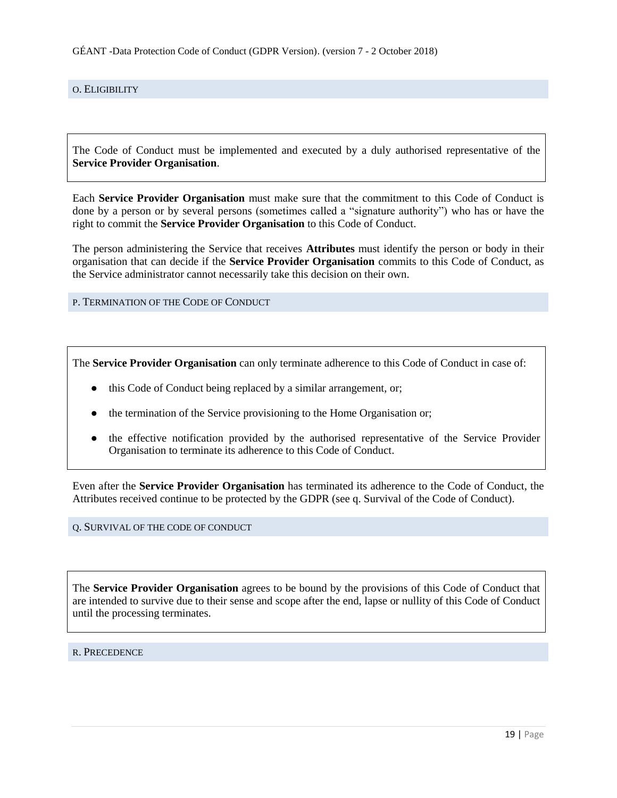<span id="page-18-0"></span>O. ELIGIBILITY

The Code of Conduct must be implemented and executed by a duly authorised representative of the **Service Provider Organisation**.

Each **Service Provider Organisation** must make sure that the commitment to this Code of Conduct is done by a person or by several persons (sometimes called a "signature authority") who has or have the right to commit the **Service Provider Organisation** to this Code of Conduct.

The person administering the Service that receives **Attributes** must identify the person or body in their organisation that can decide if the **Service Provider Organisation** commits to this Code of Conduct, as the Service administrator cannot necessarily take this decision on their own.

<span id="page-18-1"></span>P. TERMINATION OF THE CODE OF CONDUCT

The **Service Provider Organisation** can only terminate adherence to this Code of Conduct in case of:

- this Code of Conduct being replaced by a similar arrangement, or;
- the termination of the Service provisioning to the Home Organisation or;
- the effective notification provided by the authorised representative of the Service Provider Organisation to terminate its adherence to this Code of Conduct.

Even after the **Service Provider Organisation** has terminated its adherence to the Code of Conduct, the Attributes received continue to be protected by the GDPR (see q. Survival of the Code of Conduct).

#### <span id="page-18-2"></span>Q. SURVIVAL OF THE CODE OF CONDUCT

The **Service Provider Organisation** agrees to be bound by the provisions of this Code of Conduct that are intended to survive due to their sense and scope after the end, lapse or nullity of this Code of Conduct until the processing terminates.

#### <span id="page-18-3"></span>R. PRECEDENCE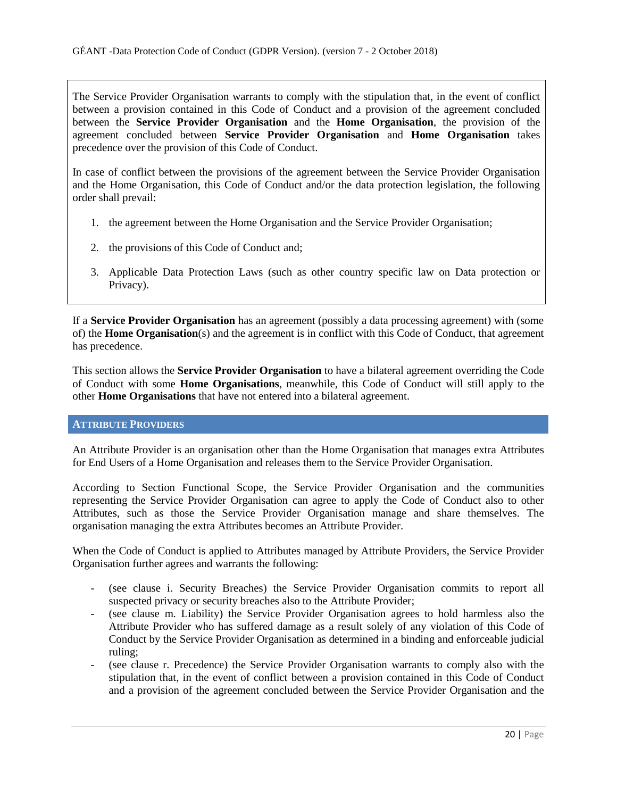The Service Provider Organisation warrants to comply with the stipulation that, in the event of conflict between a provision contained in this Code of Conduct and a provision of the agreement concluded between the **Service Provider Organisation** and the **Home Organisation**, the provision of the agreement concluded between **Service Provider Organisation** and **Home Organisation** takes precedence over the provision of this Code of Conduct.

In case of conflict between the provisions of the agreement between the Service Provider Organisation and the Home Organisation, this Code of Conduct and/or the data protection legislation, the following order shall prevail:

- 1. the agreement between the Home Organisation and the Service Provider Organisation;
- 2. the provisions of this Code of Conduct and;
- 3. Applicable Data Protection Laws (such as other country specific law on Data protection or Privacy).

If a **Service Provider Organisation** has an agreement (possibly a data processing agreement) with (some of) the **Home Organisation**(s) and the agreement is in conflict with this Code of Conduct, that agreement has precedence.

This section allows the **Service Provider Organisation** to have a bilateral agreement overriding the Code of Conduct with some **Home Organisations**, meanwhile, this Code of Conduct will still apply to the other **Home Organisations** that have not entered into a bilateral agreement.

#### <span id="page-19-0"></span>**ATTRIBUTE PROVIDERS**

An Attribute Provider is an organisation other than the Home Organisation that manages extra Attributes for End Users of a Home Organisation and releases them to the Service Provider Organisation.

According to Section Functional Scope, the Service Provider Organisation and the communities representing the Service Provider Organisation can agree to apply the Code of Conduct also to other Attributes, such as those the Service Provider Organisation manage and share themselves. The organisation managing the extra Attributes becomes an Attribute Provider.

When the Code of Conduct is applied to Attributes managed by Attribute Providers, the Service Provider Organisation further agrees and warrants the following:

- (see clause i. Security Breaches) the Service Provider Organisation commits to report all suspected privacy or security breaches also to the Attribute Provider;
- (see clause m. Liability) the Service Provider Organisation agrees to hold harmless also the Attribute Provider who has suffered damage as a result solely of any violation of this Code of Conduct by the Service Provider Organisation as determined in a binding and enforceable judicial ruling;
- (see clause r. Precedence) the Service Provider Organisation warrants to comply also with the stipulation that, in the event of conflict between a provision contained in this Code of Conduct and a provision of the agreement concluded between the Service Provider Organisation and the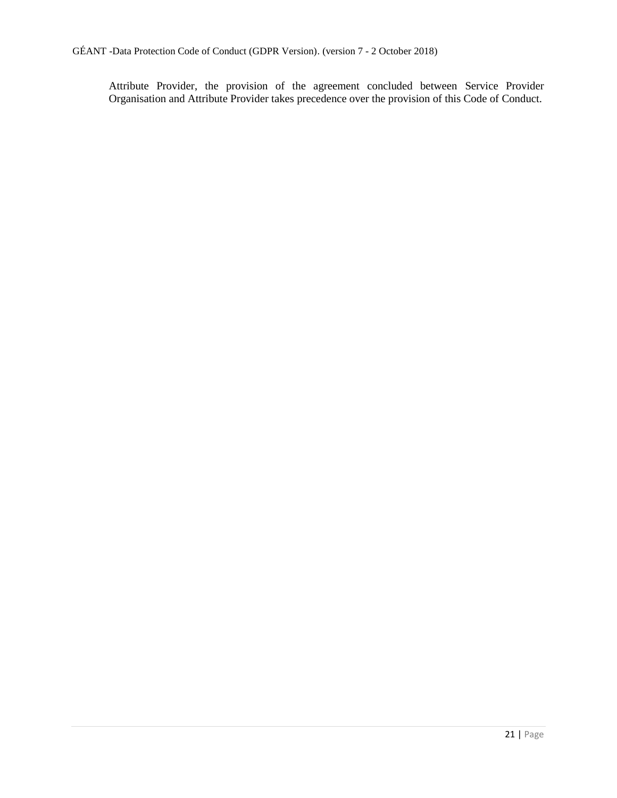Attribute Provider, the provision of the agreement concluded between Service Provider Organisation and Attribute Provider takes precedence over the provision of this Code of Conduct.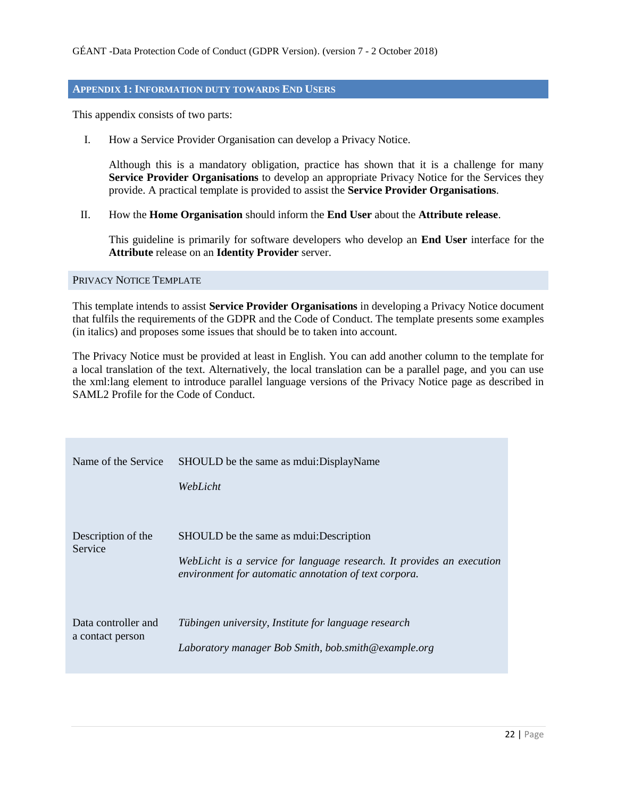# <span id="page-21-0"></span>**APPENDIX 1: INFORMATION DUTY TOWARDS END USERS**

This appendix consists of two parts:

I. How a Service Provider Organisation can develop a Privacy Notice.

Although this is a mandatory obligation, practice has shown that it is a challenge for many **Service Provider Organisations** to develop an appropriate Privacy Notice for the Services they provide. A practical template is provided to assist the **Service Provider Organisations**.

II. How the **Home Organisation** should inform the **End User** about the **Attribute release**.

This guideline is primarily for software developers who develop an **End User** interface for the **Attribute** release on an **Identity Provider** server.

<span id="page-21-1"></span>PRIVACY NOTICE TEMPLATE

This template intends to assist **Service Provider Organisations** in developing a Privacy Notice document that fulfils the requirements of the GDPR and the Code of Conduct. The template presents some examples (in italics) and proposes some issues that should be to taken into account.

The Privacy Notice must be provided at least in English. You can add another column to the template for a local translation of the text. Alternatively, the local translation can be a parallel page, and you can use the xml:lang element to introduce parallel language versions of the Privacy Notice page as described in SAML2 Profile for the Code of Conduct.

| Name of the Service                     | SHOULD be the same as modure DisplayName<br>WebLicht                                                                                                                         |
|-----------------------------------------|------------------------------------------------------------------------------------------------------------------------------------------------------------------------------|
| Description of the<br>Service           | SHOULD be the same as moulest: Description<br>WebLicht is a service for language research. It provides an execution<br>environment for automatic annotation of text corpora. |
| Data controller and<br>a contact person | Tübingen university, Institute for language research<br>Laboratory manager Bob Smith, bob.smith@example.org                                                                  |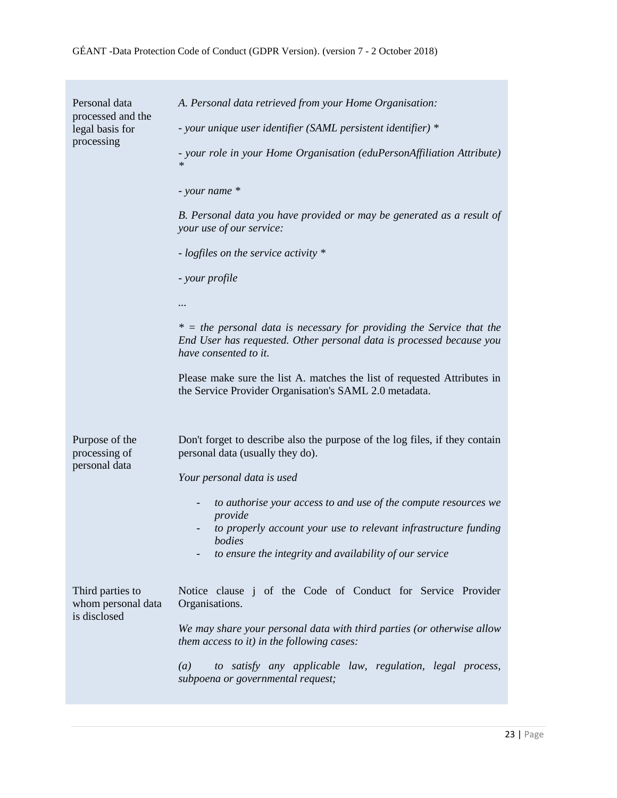| Personal data<br>processed and the<br>legal basis for<br>processing | A. Personal data retrieved from your Home Organisation:<br>- your unique user identifier (SAML persistent identifier) *<br>- your role in your Home Organisation (eduPersonAffiliation Attribute)<br>$\ast$<br>- your name *<br>B. Personal data you have provided or may be generated as a result of<br>your use of our service:<br>- logfiles on the service activity *<br>- your profile<br>.<br>$* =$ the personal data is necessary for providing the Service that the<br>End User has requested. Other personal data is processed because you<br>have consented to it.<br>Please make sure the list A. matches the list of requested Attributes in<br>the Service Provider Organisation's SAML 2.0 metadata. |
|---------------------------------------------------------------------|--------------------------------------------------------------------------------------------------------------------------------------------------------------------------------------------------------------------------------------------------------------------------------------------------------------------------------------------------------------------------------------------------------------------------------------------------------------------------------------------------------------------------------------------------------------------------------------------------------------------------------------------------------------------------------------------------------------------|
| Purpose of the<br>processing of<br>personal data                    | Don't forget to describe also the purpose of the log files, if they contain<br>personal data (usually they do).<br>Your personal data is used<br>to authorise your access to and use of the compute resources we<br>provide<br>to properly account your use to relevant infrastructure funding<br>bodies<br>to ensure the integrity and availability of our service                                                                                                                                                                                                                                                                                                                                                |
| Third parties to<br>whom personal data<br>is disclosed              | Notice clause j of the Code of Conduct for Service Provider<br>Organisations.<br>We may share your personal data with third parties (or otherwise allow<br><i>them access to it) in the following cases:</i><br>to satisfy any applicable law, regulation, legal process,<br>$\left(a\right)$<br>subpoena or governmental request;                                                                                                                                                                                                                                                                                                                                                                                 |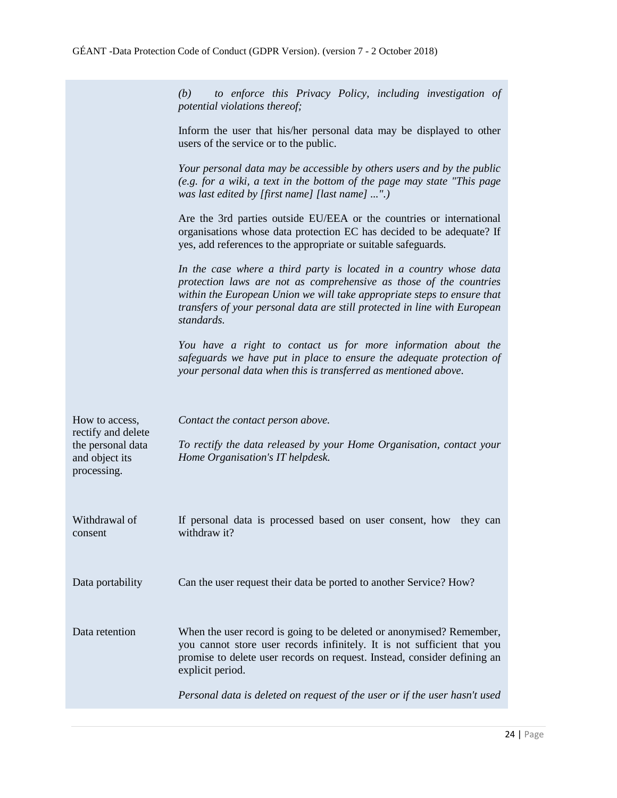|                                                                                            | to enforce this Privacy Policy, including investigation of<br>(b)<br>potential violations thereof;                                                                                                                                                                                                             |
|--------------------------------------------------------------------------------------------|----------------------------------------------------------------------------------------------------------------------------------------------------------------------------------------------------------------------------------------------------------------------------------------------------------------|
|                                                                                            | Inform the user that his/her personal data may be displayed to other<br>users of the service or to the public.                                                                                                                                                                                                 |
|                                                                                            | Your personal data may be accessible by others users and by the public<br>(e.g. for a wiki, a text in the bottom of the page may state "This page")<br>was last edited by [first name] [last name] ".)                                                                                                         |
|                                                                                            | Are the 3rd parties outside EU/EEA or the countries or international<br>organisations whose data protection EC has decided to be adequate? If<br>yes, add references to the appropriate or suitable safeguards.                                                                                                |
|                                                                                            | In the case where a third party is located in a country whose data<br>protection laws are not as comprehensive as those of the countries<br>within the European Union we will take appropriate steps to ensure that<br>transfers of your personal data are still protected in line with European<br>standards. |
|                                                                                            | You have a right to contact us for more information about the<br>safeguards we have put in place to ensure the adequate protection of<br>your personal data when this is transferred as mentioned above.                                                                                                       |
| How to access,<br>rectify and delete<br>the personal data<br>and object its<br>processing. | Contact the contact person above.<br>To rectify the data released by your Home Organisation, contact your<br>Home Organisation's IT helpdesk.                                                                                                                                                                  |
| Withdrawal of<br>consent                                                                   | If personal data is processed based on user consent, how they can<br>withdraw it?                                                                                                                                                                                                                              |
| Data portability                                                                           | Can the user request their data be ported to another Service? How?                                                                                                                                                                                                                                             |
| Data retention                                                                             | When the user record is going to be deleted or anonymised? Remember,<br>you cannot store user records infinitely. It is not sufficient that you<br>promise to delete user records on request. Instead, consider defining an<br>explicit period.                                                                |
|                                                                                            | Personal data is deleted on request of the user or if the user hasn't used                                                                                                                                                                                                                                     |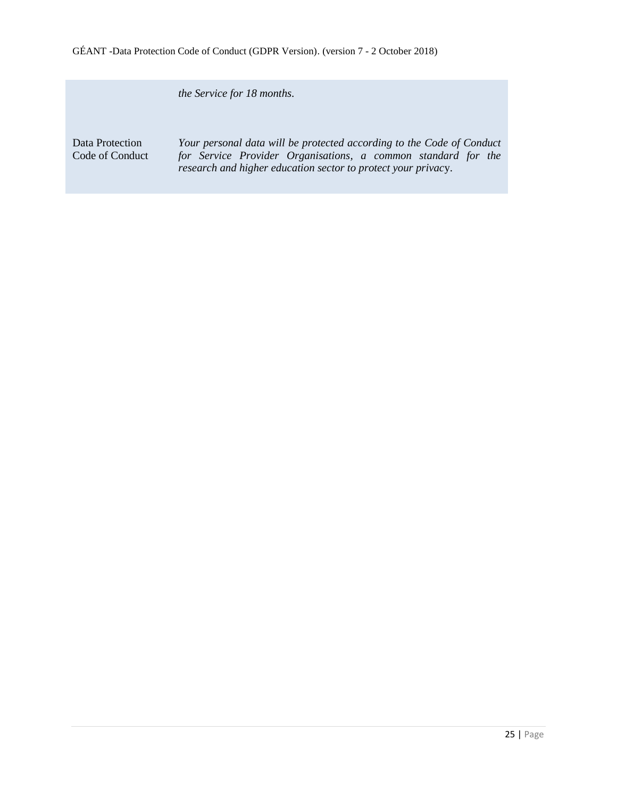*the Service for 18 months.*

Data Protection Code of Conduct

*Your personal data will be protected according to the Code of Conduct for Service Provider Organisations, a common standard for the research and higher education sector to protect your privac*y.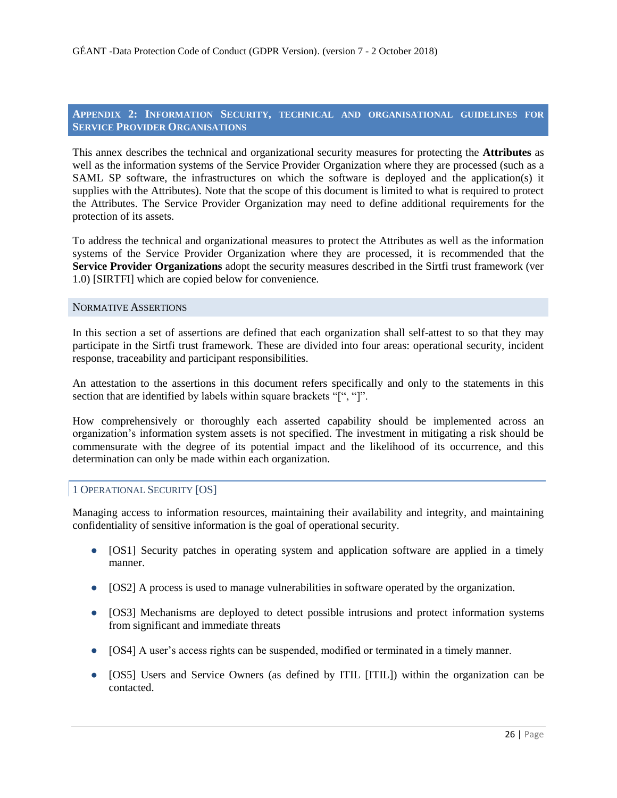# <span id="page-25-0"></span>**APPENDIX 2: INFORMATION SECURITY, TECHNICAL AND ORGANISATIONAL GUIDELINES FOR SERVICE PROVIDER ORGANISATIONS**

This annex describes the technical and organizational security measures for protecting the **Attributes** as well as the information systems of the Service Provider Organization where they are processed (such as a SAML SP software, the infrastructures on which the software is deployed and the application(s) it supplies with the Attributes). Note that the scope of this document is limited to what is required to protect the Attributes. The Service Provider Organization may need to define additional requirements for the protection of its assets.

To address the technical and organizational measures to protect the Attributes as well as the information systems of the Service Provider Organization where they are processed, it is recommended that the **Service Provider Organizations** adopt the security measures described in the Sirtfi trust framework (ver 1.0) [SIRTFI] which are copied below for convenience.

#### <span id="page-25-1"></span>NORMATIVE ASSERTIONS

In this section a set of assertions are defined that each organization shall self-attest to so that they may participate in the Sirtfi trust framework. These are divided into four areas: operational security, incident response, traceability and participant responsibilities.

An attestation to the assertions in this document refers specifically and only to the statements in this section that are identified by labels within square brackets "[", "]".

How comprehensively or thoroughly each asserted capability should be implemented across an organization's information system assets is not specified. The investment in mitigating a risk should be commensurate with the degree of its potential impact and the likelihood of its occurrence, and this determination can only be made within each organization.

#### <span id="page-25-2"></span>1 OPERATIONAL SECURITY [OS]

Managing access to information resources, maintaining their availability and integrity, and maintaining confidentiality of sensitive information is the goal of operational security.

- [OS1] Security patches in operating system and application software are applied in a timely manner.
- [OS2] A process is used to manage vulnerabilities in software operated by the organization.
- [OS3] Mechanisms are deployed to detect possible intrusions and protect information systems from significant and immediate threats
- [OS4] A user's access rights can be suspended, modified or terminated in a timely manner.
- [OS5] Users and Service Owners (as defined by ITIL [ITIL]) within the organization can be contacted.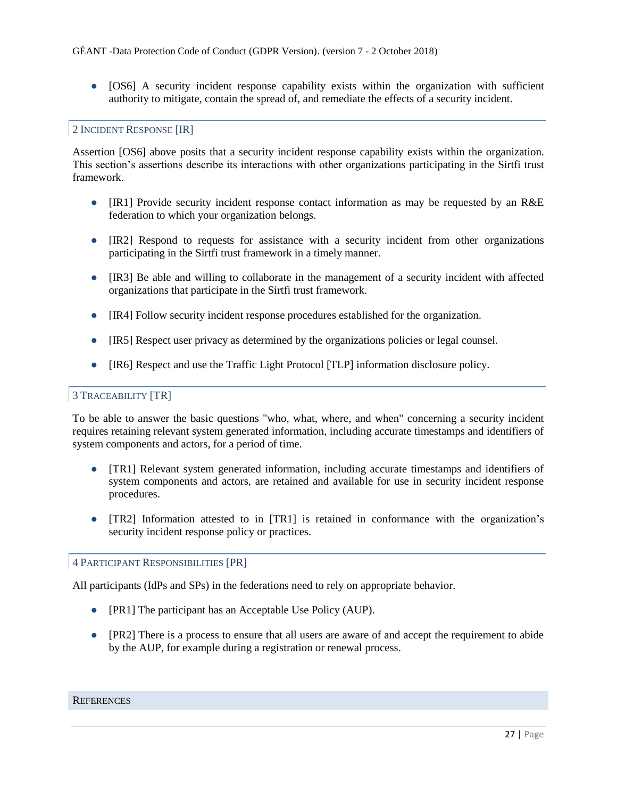• [OS6] A security incident response capability exists within the organization with sufficient authority to mitigate, contain the spread of, and remediate the effects of a security incident.

# <span id="page-26-0"></span>2 INCIDENT RESPONSE [IR]

Assertion [OS6] above posits that a security incident response capability exists within the organization. This section's assertions describe its interactions with other organizations participating in the Sirtfi trust framework.

- [IR1] Provide security incident response contact information as may be requested by an R&E federation to which your organization belongs.
- [IR2] Respond to requests for assistance with a security incident from other organizations participating in the Sirtfi trust framework in a timely manner.
- [IR3] Be able and willing to collaborate in the management of a security incident with affected organizations that participate in the Sirtfi trust framework.
- [IR4] Follow security incident response procedures established for the organization.
- [IR5] Respect user privacy as determined by the organizations policies or legal counsel.
- [IR6] Respect and use the Traffic Light Protocol [TLP] information disclosure policy.

# <span id="page-26-1"></span>3 TRACEABILITY [TR]

To be able to answer the basic questions "who, what, where, and when" concerning a security incident requires retaining relevant system generated information, including accurate timestamps and identifiers of system components and actors, for a period of time.

- [TR1] Relevant system generated information, including accurate timestamps and identifiers of system components and actors, are retained and available for use in security incident response procedures.
- [TR2] Information attested to in [TR1] is retained in conformance with the organization's security incident response policy or practices.

#### <span id="page-26-2"></span>4 PARTICIPANT RESPONSIBILITIES [PR]

All participants (IdPs and SPs) in the federations need to rely on appropriate behavior.

- [PR1] The participant has an Acceptable Use Policy (AUP).
- [PR2] There is a process to ensure that all users are aware of and accept the requirement to abide by the AUP, for example during a registration or renewal process.

# <span id="page-26-3"></span>**REFERENCES**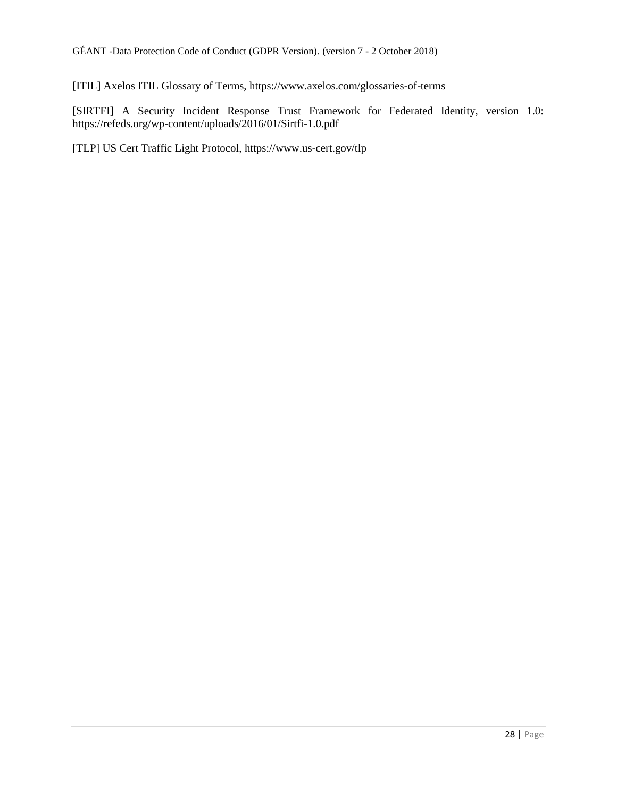[ITIL] Axelos ITIL Glossary of Terms, https://www.axelos.com/glossaries-of-terms

[SIRTFI] A Security Incident Response Trust Framework for Federated Identity, version 1.0: https://refeds.org/wp-content/uploads/2016/01/Sirtfi-1.0.pdf

[TLP] US Cert Traffic Light Protocol, https://www.us-cert.gov/tlp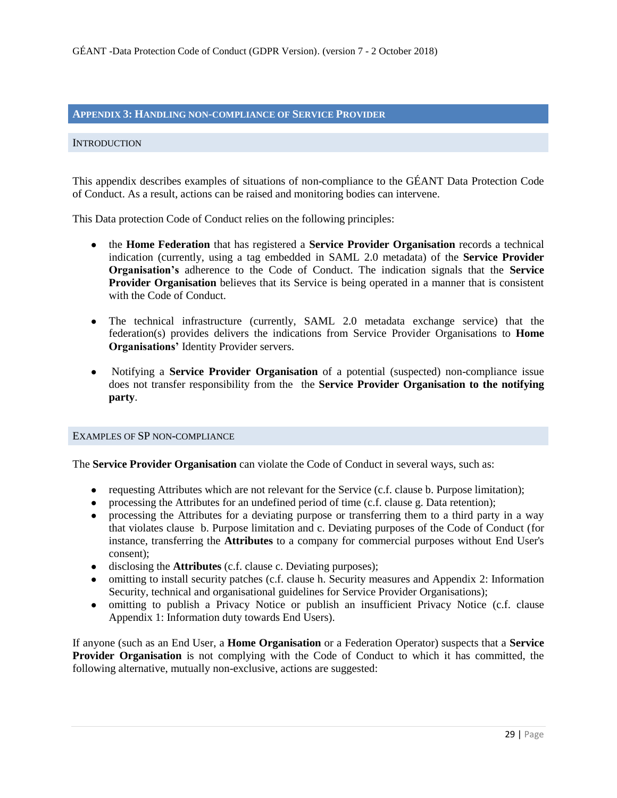# <span id="page-28-0"></span>**APPENDIX 3: HANDLING NON-COMPLIANCE OF SERVICE PROVIDER**

#### <span id="page-28-1"></span>**INTRODUCTION**

This appendix describes examples of situations of non-compliance to the GÉANT Data Protection Code of Conduct. As a result, actions can be raised and monitoring bodies can intervene.

This Data protection Code of Conduct relies on the following principles:

- the **Home Federation** that has registered a **Service Provider Organisation** records a technical indication (currently, using a tag embedded in SAML 2.0 metadata) of the **Service Provider Organisation's** adherence to the Code of Conduct. The indication signals that the **Service Provider Organisation** believes that its Service is being operated in a manner that is consistent with the Code of Conduct.
- The technical infrastructure (currently, SAML 2.0 metadata exchange service) that the federation(s) provides delivers the indications from Service Provider Organisations to **Home Organisations'** Identity Provider servers.
- Notifying a **Service Provider Organisation** of a potential (suspected) non-compliance issue does not transfer responsibility from the the **Service Provider Organisation to the notifying party**.

#### <span id="page-28-2"></span>EXAMPLES OF SP NON-COMPLIANCE

The **Service Provider Organisation** can violate the Code of Conduct in several ways, such as:

- requesting Attributes which are not relevant for the Service (c.f. clause b. Purpose limitation);
- processing the Attributes for an undefined period of time (c.f. clause g. Data retention);
- processing the Attributes for a deviating purpose or transferring them to a third party in a way that violates clause b. Purpose limitation and c. Deviating purposes of the Code of Conduct (for instance, transferring the **Attributes** to a company for commercial purposes without End User's consent);
- disclosing the **Attributes** (c.f. clause c. Deviating purposes);
- omitting to install security patches (c.f. clause h. Security measures and Appendix 2: Information Security, technical and organisational guidelines for Service Provider Organisations);
- omitting to publish a Privacy Notice or publish an insufficient Privacy Notice (c.f. clause Appendix 1: Information duty towards End Users).

If anyone (such as an End User, a **Home Organisation** or a Federation Operator) suspects that a **Service Provider Organisation** is not complying with the Code of Conduct to which it has committed, the following alternative, mutually non-exclusive, actions are suggested: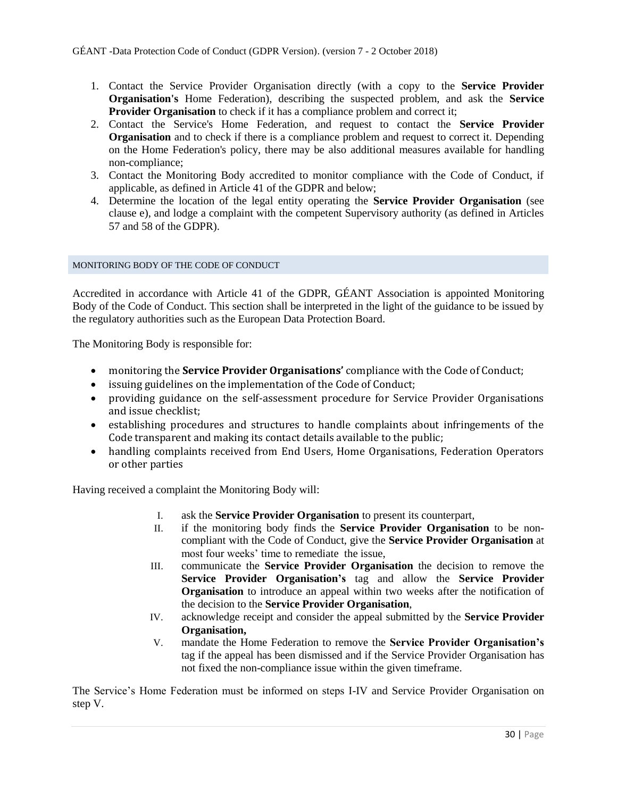- 1. Contact the Service Provider Organisation directly (with a copy to the **Service Provider Organisation's** Home Federation), describing the suspected problem, and ask the **Service Provider Organisation** to check if it has a compliance problem and correct it;
- 2. Contact the Service's Home Federation, and request to contact the **Service Provider Organisation** and to check if there is a compliance problem and request to correct it. Depending on the Home Federation's policy, there may be also additional measures available for handling non-compliance;
- 3. Contact the Monitoring Body accredited to monitor compliance with the Code of Conduct, if applicable, as defined in Article 41 of the GDPR and below;
- 4. Determine the location of the legal entity operating the **Service Provider Organisation** (see clause e), and lodge a complaint with the competent Supervisory authority (as defined in Articles 57 and 58 of the GDPR).

#### <span id="page-29-0"></span>MONITORING BODY OF THE CODE OF CONDUCT

Accredited in accordance with Article 41 of the GDPR, GÉANT Association is appointed Monitoring Body of the Code of Conduct. This section shall be interpreted in the light of the guidance to be issued by the regulatory authorities such as the European Data Protection Board.

The Monitoring Body is responsible for:

- monitoring the **Service Provider Organisations'** compliance with the Code of Conduct;
- issuing guidelines on the implementation of the Code of Conduct;
- providing guidance on the self-assessment procedure for Service Provider Organisations and issue checklist;
- establishing procedures and structures to handle complaints about infringements of the Code transparent and making its contact details available to the public;
- handling complaints received from End Users, Home Organisations, Federation Operators or other parties

Having received a complaint the Monitoring Body will:

- I. ask the **Service Provider Organisation** to present its counterpart,
- II. if the monitoring body finds the **Service Provider Organisation** to be noncompliant with the Code of Conduct, give the **Service Provider Organisation** at most four weeks' time to remediate the issue,
- III. communicate the **Service Provider Organisation** the decision to remove the **Service Provider Organisation's** tag and allow the **Service Provider Organisation** to introduce an appeal within two weeks after the notification of the decision to the **Service Provider Organisation**,
- IV. acknowledge receipt and consider the appeal submitted by the **Service Provider Organisation,**
- V. mandate the Home Federation to remove the **Service Provider Organisation's** tag if the appeal has been dismissed and if the Service Provider Organisation has not fixed the non-compliance issue within the given timeframe.

The Service's Home Federation must be informed on steps I-IV and Service Provider Organisation on step V.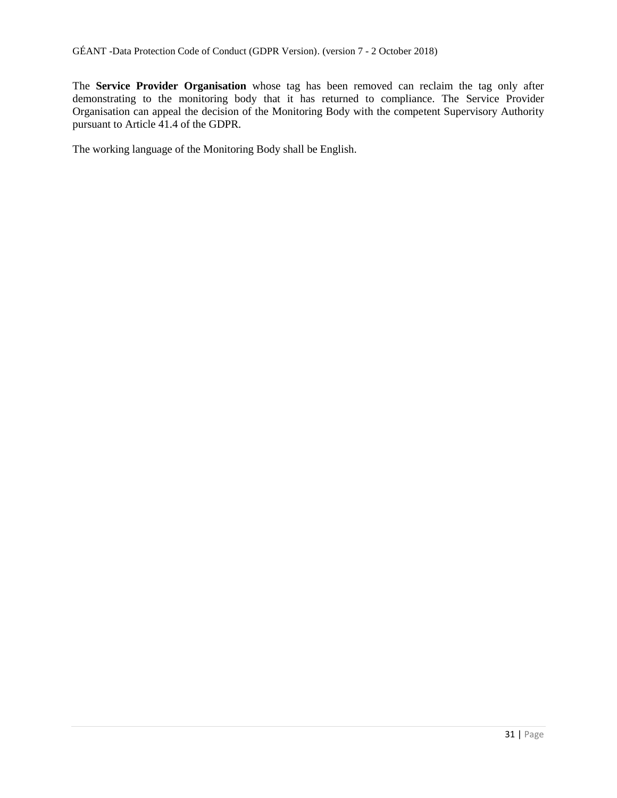The **Service Provider Organisation** whose tag has been removed can reclaim the tag only after demonstrating to the monitoring body that it has returned to compliance. The Service Provider Organisation can appeal the decision of the Monitoring Body with the competent Supervisory Authority pursuant to Article 41.4 of the GDPR.

The working language of the Monitoring Body shall be English.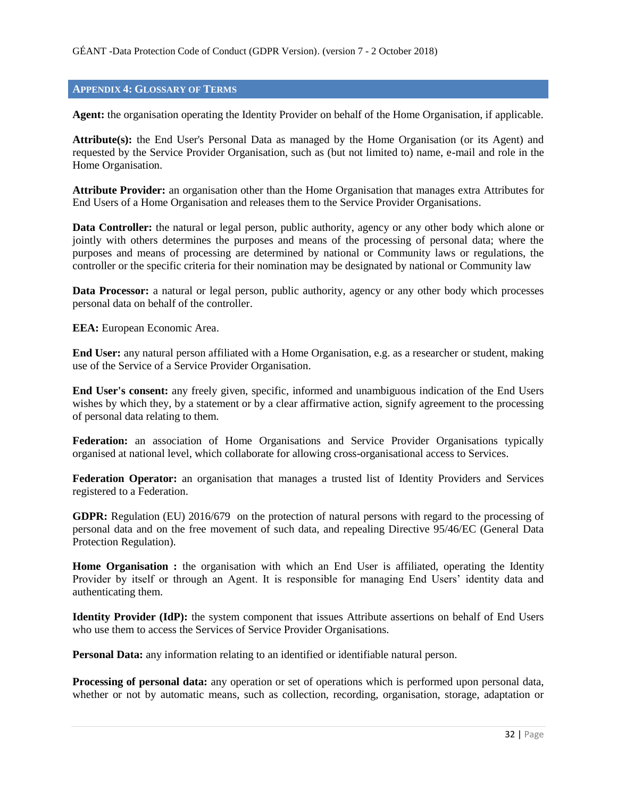# <span id="page-31-0"></span>**APPENDIX 4: GLOSSARY OF TERMS**

**Agent:** the organisation operating the Identity Provider on behalf of the Home Organisation, if applicable.

**Attribute(s):** the End User's Personal Data as managed by the Home Organisation (or its Agent) and requested by the Service Provider Organisation, such as (but not limited to) name, e-mail and role in the Home Organisation.

**Attribute Provider:** an organisation other than the Home Organisation that manages extra Attributes for End Users of a Home Organisation and releases them to the Service Provider Organisations.

**Data Controller:** the natural or legal person, public authority, agency or any other body which alone or jointly with others determines the purposes and means of the processing of personal data; where the purposes and means of processing are determined by national or Community laws or regulations, the controller or the specific criteria for their nomination may be designated by national or Community law

**Data Processor:** a natural or legal person, public authority, agency or any other body which processes personal data on behalf of the controller.

**EEA:** European Economic Area.

**End User:** any natural person affiliated with a Home Organisation, e.g. as a researcher or student, making use of the Service of a Service Provider Organisation.

**End User's consent:** any freely given, specific, informed and unambiguous indication of the End Users wishes by which they, by a statement or by a clear affirmative action, signify agreement to the processing of personal data relating to them.

**Federation:** an association of Home Organisations and Service Provider Organisations typically organised at national level, which collaborate for allowing cross-organisational access to Services.

**Federation Operator:** an organisation that manages a trusted list of Identity Providers and Services registered to a Federation.

**GDPR:** Regulation (EU) 2016/679 on the protection of natural persons with regard to the processing of personal data and on the free movement of such data, and repealing Directive 95/46/EC (General Data Protection Regulation).

**Home Organisation :** the organisation with which an End User is affiliated, operating the Identity Provider by itself or through an Agent. It is responsible for managing End Users' identity data and authenticating them.

**Identity Provider (IdP):** the system component that issues Attribute assertions on behalf of End Users who use them to access the Services of Service Provider Organisations.

**Personal Data:** any information relating to an identified or identifiable natural person.

**Processing of personal data:** any operation or set of operations which is performed upon personal data, whether or not by automatic means, such as collection, recording, organisation, storage, adaptation or